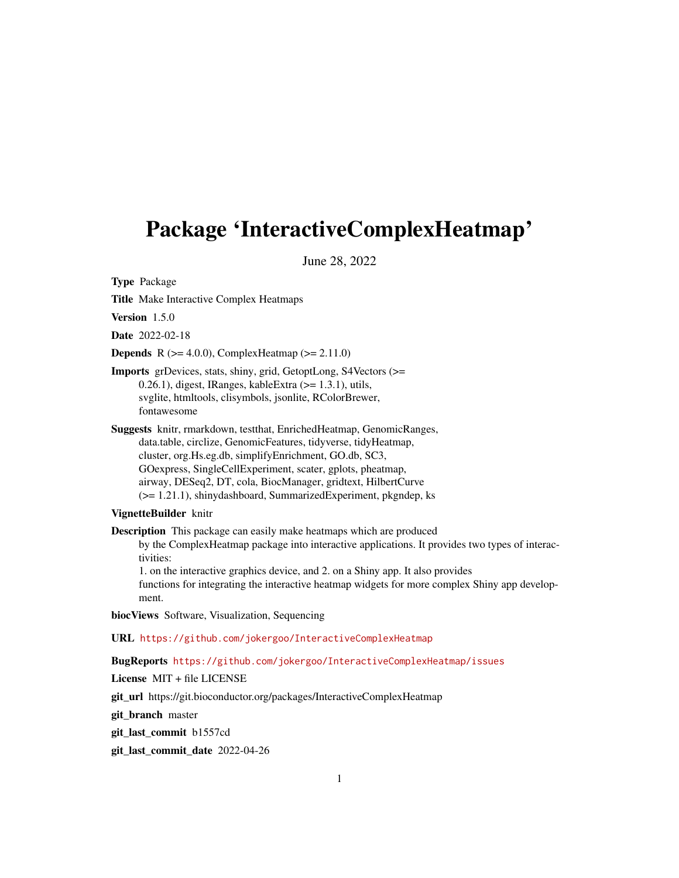# <span id="page-0-0"></span>Package 'InteractiveComplexHeatmap'

June 28, 2022

Type Package

Title Make Interactive Complex Heatmaps

Version 1.5.0

Date 2022-02-18

**Depends** R ( $>= 4.0.0$ ), ComplexHeatmap ( $>= 2.11.0$ )

Imports grDevices, stats, shiny, grid, GetoptLong, S4Vectors (>=  $0.26.1$ ), digest, IRanges, kableExtra ( $>= 1.3.1$ ), utils, svglite, htmltools, clisymbols, jsonlite, RColorBrewer, fontawesome

Suggests knitr, rmarkdown, testthat, EnrichedHeatmap, GenomicRanges, data.table, circlize, GenomicFeatures, tidyverse, tidyHeatmap, cluster, org.Hs.eg.db, simplifyEnrichment, GO.db, SC3, GOexpress, SingleCellExperiment, scater, gplots, pheatmap, airway, DESeq2, DT, cola, BiocManager, gridtext, HilbertCurve (>= 1.21.1), shinydashboard, SummarizedExperiment, pkgndep, ks

#### VignetteBuilder knitr

Description This package can easily make heatmaps which are produced by the ComplexHeatmap package into interactive applications. It provides two types of interactivities: 1. on the interactive graphics device, and 2. on a Shiny app. It also provides functions for integrating the interactive heatmap widgets for more complex Shiny app develop-

ment.

biocViews Software, Visualization, Sequencing

URL <https://github.com/jokergoo/InteractiveComplexHeatmap>

BugReports <https://github.com/jokergoo/InteractiveComplexHeatmap/issues>

License MIT + file LICENSE

git url https://git.bioconductor.org/packages/InteractiveComplexHeatmap

git branch master

git\_last\_commit b1557cd

git\_last\_commit\_date 2022-04-26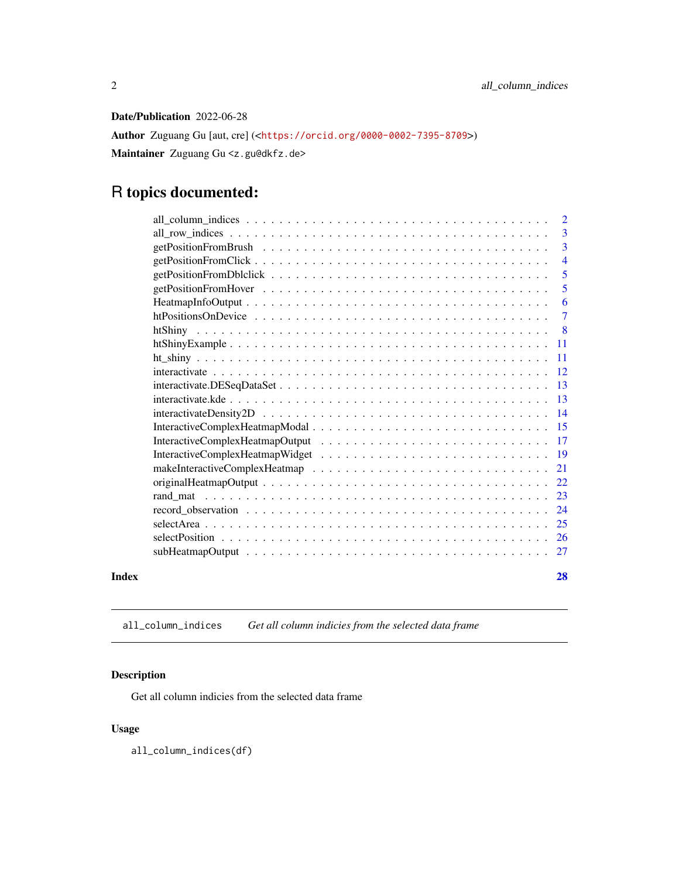<span id="page-1-0"></span>Date/Publication 2022-06-28

Author Zuguang Gu [aut, cre] (<<https://orcid.org/0000-0002-7395-8709>>) Maintainer Zuguang Gu <z.gu@dkfz.de>

## R topics documented:

|       | $\overline{3}$ |
|-------|----------------|
|       | $\overline{3}$ |
|       | $\overline{4}$ |
|       | $\overline{5}$ |
|       | $\overline{5}$ |
|       | -6             |
|       |                |
|       |                |
|       |                |
|       |                |
|       |                |
|       |                |
|       |                |
|       |                |
|       |                |
|       |                |
|       |                |
|       |                |
|       |                |
|       |                |
|       |                |
|       |                |
|       |                |
|       |                |
| Index | 28             |

all\_column\_indices *Get all column indicies from the selected data frame*

### Description

Get all column indicies from the selected data frame

#### Usage

all\_column\_indices(df)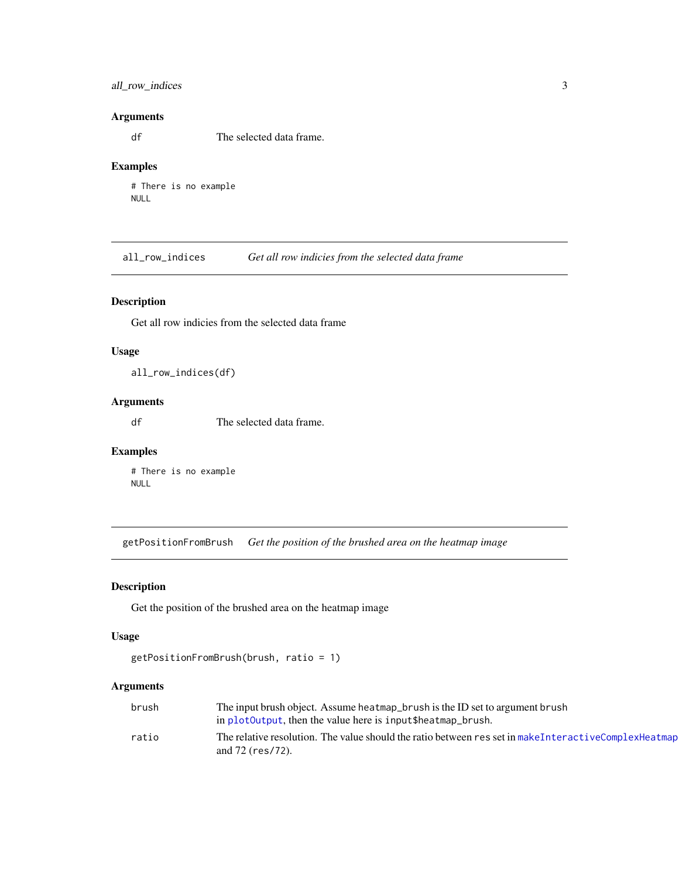#### <span id="page-2-0"></span>all\_row\_indices 3

#### Arguments

df The selected data frame.

#### Examples

```
# There is no example
NULL
```
all\_row\_indices *Get all row indicies from the selected data frame*

#### Description

Get all row indicies from the selected data frame

#### Usage

all\_row\_indices(df)

#### Arguments

df The selected data frame.

### Examples

# There is no example NULL

<span id="page-2-1"></span>getPositionFromBrush *Get the position of the brushed area on the heatmap image*

### Description

Get the position of the brushed area on the heatmap image

#### Usage

```
getPositionFromBrush(brush, ratio = 1)
```

| brush | The input brush object. Assume heatmap_brush is the ID set to argument brush                                                  |  |
|-------|-------------------------------------------------------------------------------------------------------------------------------|--|
|       | in plot0utput, then the value here is input\$heatmap_brush.                                                                   |  |
| ratio | The relative resolution. The value should the ratio between res set in make Interactive Complex Heatmap<br>and $72$ (res/72). |  |
|       |                                                                                                                               |  |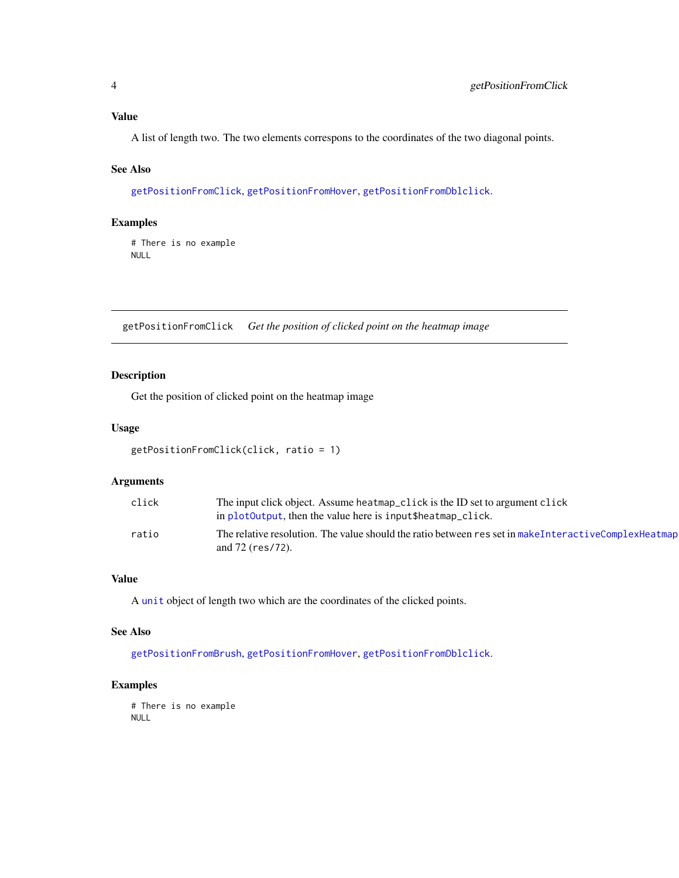#### <span id="page-3-0"></span>Value

A list of length two. The two elements correspons to the coordinates of the two diagonal points.

#### See Also

[getPositionFromClick](#page-3-1), [getPositionFromHover](#page-4-1), [getPositionFromDblclick](#page-4-2).

#### Examples

# There is no example NULL

<span id="page-3-1"></span>getPositionFromClick *Get the position of clicked point on the heatmap image*

#### Description

Get the position of clicked point on the heatmap image

#### Usage

```
getPositionFromClick(click, ratio = 1)
```
#### Arguments

| click | The input click object. Assume heatmap_click is the ID set to argument click<br>in plot0utput, then the value here is input\$heatmap_click. |  |
|-------|---------------------------------------------------------------------------------------------------------------------------------------------|--|
| ratio | The relative resolution. The value should the ratio between res set in makeInteractiveComplexHeatmap<br>and $72$ (res/72).                  |  |

#### Value

A [unit](#page-0-0) object of length two which are the coordinates of the clicked points.

#### See Also

[getPositionFromBrush](#page-2-1), [getPositionFromHover](#page-4-1), [getPositionFromDblclick](#page-4-2).

#### Examples

# There is no example NULL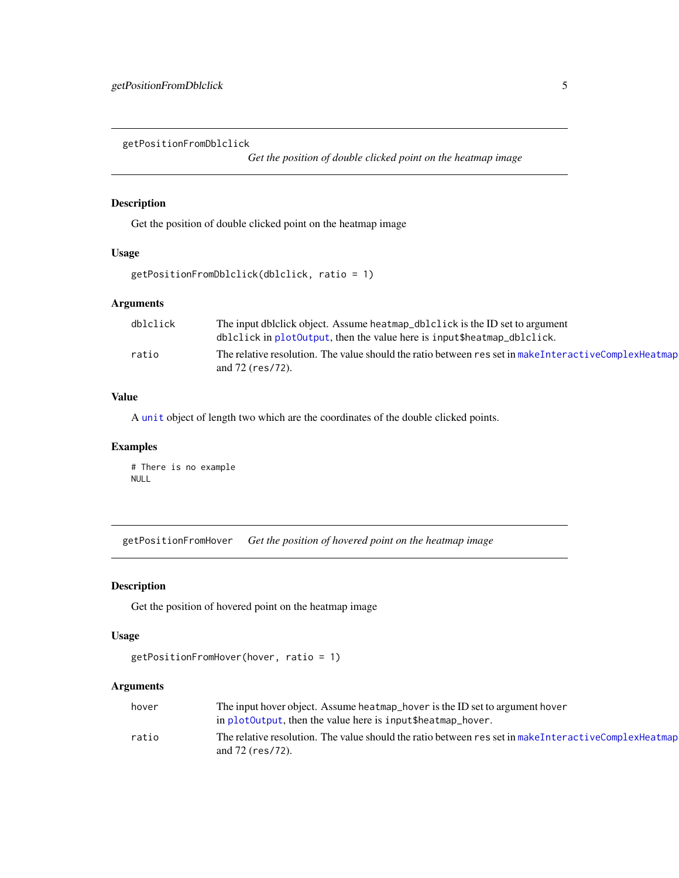<span id="page-4-2"></span><span id="page-4-0"></span>getPositionFromDblclick

*Get the position of double clicked point on the heatmap image*

#### Description

Get the position of double clicked point on the heatmap image

#### Usage

```
getPositionFromDblclick(dblclick, ratio = 1)
```
#### Arguments

| dblclick | The input dblclick object. Assume heatmap_dblclick is the ID set to argument                                                  |  |
|----------|-------------------------------------------------------------------------------------------------------------------------------|--|
|          | dblclick in plotOutput, then the value here is input\$heatmap_dblclick.                                                       |  |
| ratio    | The relative resolution. The value should the ratio between res set in make Interactive Complex Heatmap<br>and $72$ (res/72). |  |

#### Value

A [unit](#page-0-0) object of length two which are the coordinates of the double clicked points.

#### Examples

# There is no example NULL

<span id="page-4-1"></span>getPositionFromHover *Get the position of hovered point on the heatmap image*

#### Description

Get the position of hovered point on the heatmap image

#### Usage

```
getPositionFromHover(hover, ratio = 1)
```

| hover | The input hover object. Assume heatmap_hover is the ID set to argument hover                                                |
|-------|-----------------------------------------------------------------------------------------------------------------------------|
|       | in plot0utput, then the value here is input\$heatmap_hover.                                                                 |
| ratio | The relative resolution. The value should the ratio between res set in make InteractiveComplexHeatmap<br>and $72$ (res/72). |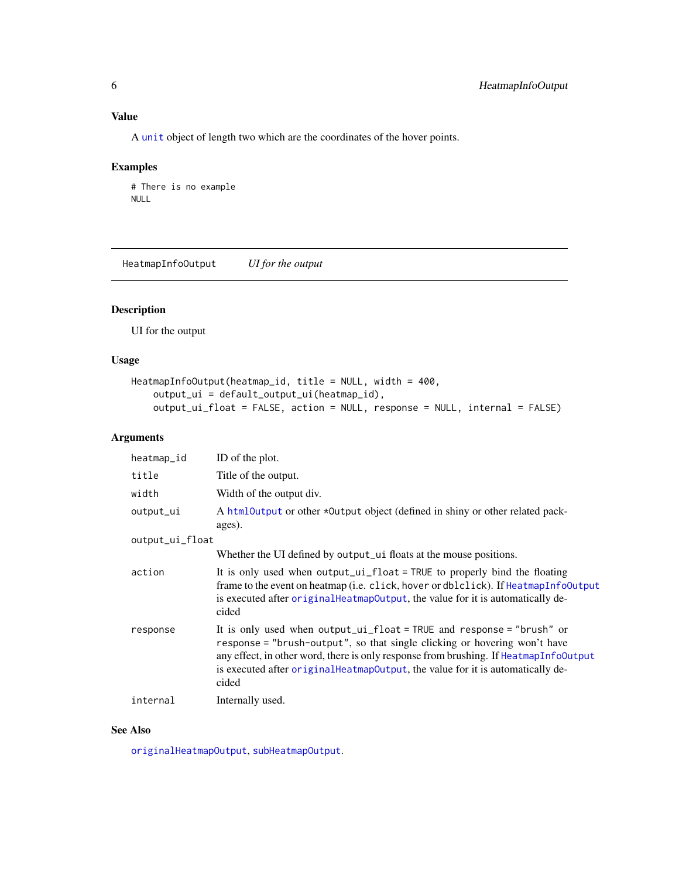<span id="page-5-0"></span>A [unit](#page-0-0) object of length two which are the coordinates of the hover points.

#### Examples

```
# There is no example
NULL
```
<span id="page-5-1"></span>HeatmapInfoOutput *UI for the output*

#### Description

UI for the output

#### Usage

```
HeatmapInfoOutput(heatmap_id, title = NULL, width = 400,
    output_ui = default_output_ui(heatmap_id),
    output_ui_float = FALSE, action = NULL, response = NULL, internal = FALSE)
```
#### Arguments

| heatmap_id      | ID of the plot.                                                                                                                                                                                                                                                                                                                           |
|-----------------|-------------------------------------------------------------------------------------------------------------------------------------------------------------------------------------------------------------------------------------------------------------------------------------------------------------------------------------------|
| title           | Title of the output.                                                                                                                                                                                                                                                                                                                      |
| width           | Width of the output div.                                                                                                                                                                                                                                                                                                                  |
| output_ui       | A html0utput or other *0utput object (defined in shiny or other related pack-<br>ages).                                                                                                                                                                                                                                                   |
| output_ui_float |                                                                                                                                                                                                                                                                                                                                           |
|                 | Whether the UI defined by output_ui floats at the mouse positions.                                                                                                                                                                                                                                                                        |
| action          | It is only used when output_ui_float = TRUE to properly bind the floating<br>frame to the event on heatmap (i.e. click, hover or dblclick). If HeatmapInfoOutput<br>is executed after original HeatmapOutput, the value for it is automatically de-<br>cided                                                                              |
| response        | It is only used when $output\_ui_fload = TRUE$ and response = "brush" or<br>response = "brush-output", so that single clicking or hovering won't have<br>any effect, in other word, there is only response from brushing. If HeatmapInfold put<br>is executed after originalHeatmapOutput, the value for it is automatically de-<br>cided |
| internal        | Internally used.                                                                                                                                                                                                                                                                                                                          |

#### See Also

[originalHeatmapOutput](#page-21-1), [subHeatmapOutput](#page-26-1).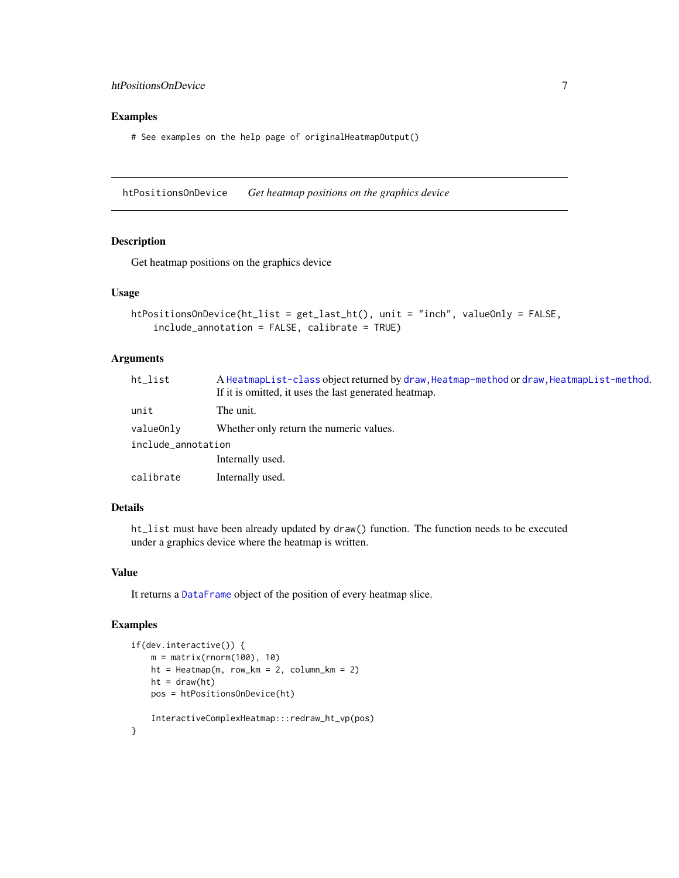#### <span id="page-6-0"></span>htPositionsOnDevice 7

#### Examples

# See examples on the help page of originalHeatmapOutput()

<span id="page-6-1"></span>htPositionsOnDevice *Get heatmap positions on the graphics device*

#### Description

Get heatmap positions on the graphics device

#### Usage

```
htPositionsOnDevice(ht_list = get_last_ht(), unit = "inch", valueOnly = FALSE,
    include_annotation = FALSE, calibrate = TRUE)
```
#### Arguments

| ht list            | A HeatmapList-class object returned by draw, Heatmap-method or draw, HeatmapList-method.<br>If it is omitted, it uses the last generated heatmap. |  |
|--------------------|---------------------------------------------------------------------------------------------------------------------------------------------------|--|
| unit               | The unit.                                                                                                                                         |  |
| valueOnly          | Whether only return the numeric values.                                                                                                           |  |
| include_annotation |                                                                                                                                                   |  |
|                    | Internally used.                                                                                                                                  |  |
| calibrate          | Internally used.                                                                                                                                  |  |
|                    |                                                                                                                                                   |  |

#### Details

ht\_list must have been already updated by draw() function. The function needs to be executed under a graphics device where the heatmap is written.

#### Value

It returns a [DataFrame](#page-0-0) object of the position of every heatmap slice.

```
if(dev.interactive()) {
   m = matrix(rnorm(100), 10)
   ht = Heatmap(m, row_km = 2, column_km = 2)
   ht = draw(ht)pos = htPositionsOnDevice(ht)
   InteractiveComplexHeatmap:::redraw_ht_vp(pos)
}
```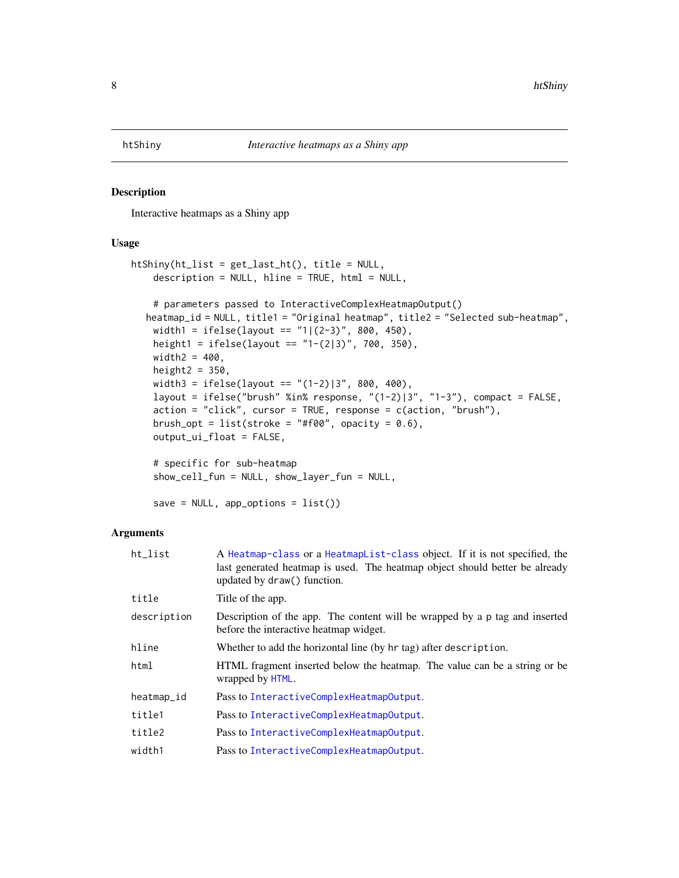<span id="page-7-1"></span><span id="page-7-0"></span>

#### Description

Interactive heatmaps as a Shiny app

#### Usage

```
htShiny(ht_list = get_last_ht(), title = NULL,
    description = NULL, hline = TRUE, html = NULL,
    # parameters passed to InteractiveComplexHeatmapOutput()
  heatmap_id = NULL, title1 = "Original heatmap", title2 = "Selected sub-heatmap",
    width1 = ifelse(layout == "1|(2-3)", 800, 450),
   height1 = ifelse(layout == "1-(2|3)", 700, 350),
   width2 = 400,
   height2 = 350,
   width3 = ifelse(layout == "(1-2)|3", 800, 400),
    layout = ifelse("brush" %in% response, "(1-2)|3", "1-3"), compact = FALSE,
    action = "click", cursor = TRUE, response = c(action, "brush"),
   brush_opt = list(stroke = "#f00", opacity = 0.6),
    output_ui_float = FALSE,
    # specific for sub-heatmap
    show_cell_fun = NULL, show_layer_fun = NULL,
```

```
save = NULL, app_options = list()
```

| ht list     | A Heatmap-class or a HeatmapList-class object. If it is not specified, the<br>last generated heatmap is used. The heatmap object should better be already<br>updated by draw() function. |  |
|-------------|------------------------------------------------------------------------------------------------------------------------------------------------------------------------------------------|--|
| title       | Title of the app.                                                                                                                                                                        |  |
| description | Description of the app. The content will be wrapped by a p tag and inserted<br>before the interactive heatmap widget.                                                                    |  |
| hline       | Whether to add the horizontal line (by hr tag) after description.                                                                                                                        |  |
| html        | HTML fragment inserted below the heatmap. The value can be a string or be<br>wrapped by HTML.                                                                                            |  |
| heatmap_id  | Pass to InteractiveComplexHeatmapOutput.                                                                                                                                                 |  |
| title1      | Pass to InteractiveComplexHeatmapOutput.                                                                                                                                                 |  |
| title2      | Pass to InteractiveComplexHeatmapOutput.                                                                                                                                                 |  |
| width1      | Pass to InteractiveComplexHeatmapOutput.                                                                                                                                                 |  |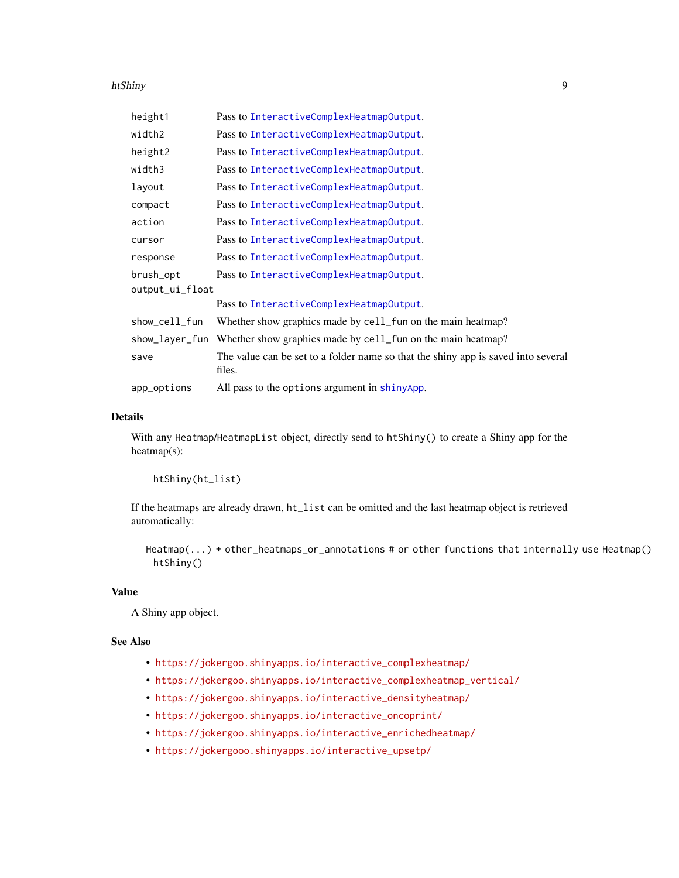#### <span id="page-8-0"></span>htShiny 9

| height1         | Pass to InteractiveComplexHeatmapOutput.                                                    |  |
|-----------------|---------------------------------------------------------------------------------------------|--|
| width2          | Pass to InteractiveComplexHeatmapOutput.                                                    |  |
| height2         | Pass to InteractiveComplexHeatmapOutput.                                                    |  |
| width3          | Pass to InteractiveComplexHeatmapOutput.                                                    |  |
| layout          | Pass to InteractiveComplexHeatmapOutput.                                                    |  |
| compact         | Pass to InteractiveComplexHeatmapOutput.                                                    |  |
| action          | Pass to InteractiveComplexHeatmapOutput.                                                    |  |
| cursor          | Pass to InteractiveComplexHeatmapOutput.                                                    |  |
| response        | Pass to InteractiveComplexHeatmapOutput.                                                    |  |
| brush_opt       | Pass to InteractiveComplexHeatmapOutput.                                                    |  |
| output_ui_float |                                                                                             |  |
|                 | Pass to InteractiveComplexHeatmapOutput.                                                    |  |
| show_cell_fun   | Whether show graphics made by cell_fun on the main heatmap?                                 |  |
| show_layer_fun  | Whether show graphics made by cell_fun on the main heatmap?                                 |  |
| save            | The value can be set to a folder name so that the shiny app is saved into several<br>files. |  |
| app_options     | All pass to the options argument in shinyApp.                                               |  |

#### Details

With any Heatmap/HeatmapList object, directly send to htShiny() to create a Shiny app for the heatmap(s):

htShiny(ht\_list)

If the heatmaps are already drawn, ht\_list can be omitted and the last heatmap object is retrieved automatically:

Heatmap(...) + other\_heatmaps\_or\_annotations # or other functions that internally use Heatmap() htShiny()

#### Value

A Shiny app object.

#### See Also

- [https://jokergoo.shinyapps.io/interactive\\_complexheatmap/](https://jokergoo.shinyapps.io/interactive_complexheatmap/)
- [https://jokergoo.shinyapps.io/interactive\\_complexheatmap\\_vertical/](https://jokergoo.shinyapps.io/interactive_complexheatmap_vertical/)
- [https://jokergoo.shinyapps.io/interactive\\_densityheatmap/](https://jokergoo.shinyapps.io/interactive_densityheatmap/)
- [https://jokergoo.shinyapps.io/interactive\\_oncoprint/](https://jokergoo.shinyapps.io/interactive_oncoprint/)
- [https://jokergoo.shinyapps.io/interactive\\_enrichedheatmap/](https://jokergoo.shinyapps.io/interactive_enrichedheatmap/)
- [https://jokergooo.shinyapps.io/interactive\\_upsetp/](https://jokergooo.shinyapps.io/interactive_upsetp/)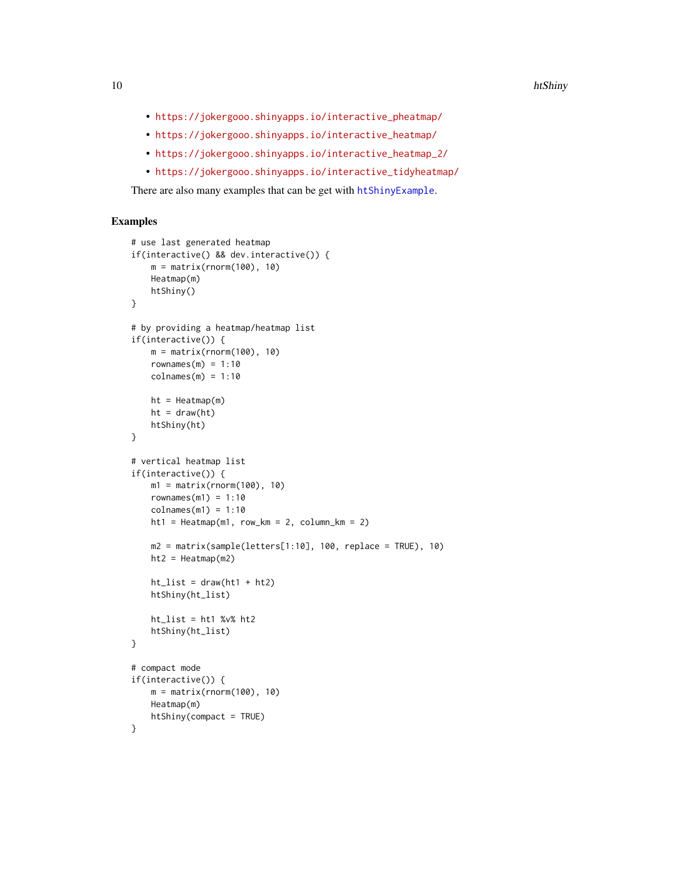- [https://jokergooo.shinyapps.io/interactive\\_pheatmap/](https://jokergooo.shinyapps.io/interactive_pheatmap/)
- [https://jokergooo.shinyapps.io/interactive\\_heatmap/](https://jokergooo.shinyapps.io/interactive_heatmap/)
- [https://jokergooo.shinyapps.io/interactive\\_heatmap\\_2/](https://jokergooo.shinyapps.io/interactive_heatmap_2/)
- [https://jokergooo.shinyapps.io/interactive\\_tidyheatmap/](https://jokergooo.shinyapps.io/interactive_tidyheatmap/)

There are also many examples that can be get with [htShinyExample](#page-10-1).

```
# use last generated heatmap
if(interactive() && dev.interactive()) {
   m = matrix(rnorm(100), 10)
   Heatmap(m)
   htShiny()
}
# by providing a heatmap/heatmap list
if(interactive()) {
   m = matrix(rnorm(100), 10)rownames(m) = 1:10colnames(m) = 1:10ht = Heatmap(m)ht = draw(ht)htShiny(ht)
}
# vertical heatmap list
if(interactive()) {
   m1 = matrix(rnorm(100), 10)rownames(m1) = 1:10colnames(m1) = 1:10ht1 = \text{Heatmap}(m1, row_km = 2, column_km = 2)m2 = matrix(sample(leftters[1:10], 100, replace = TRUE), 10)ht2 = Heathap(m2)ht\_list = draw(ht1 + ht2)htShiny(ht_list)
   ht\_list = ht1 %v% ht2htShiny(ht_list)
}
# compact mode
if(interactive()) {
   m = matrix(rnorm(100), 10)Heatmap(m)
   htShiny(compact = TRUE)
}
```
<span id="page-9-0"></span>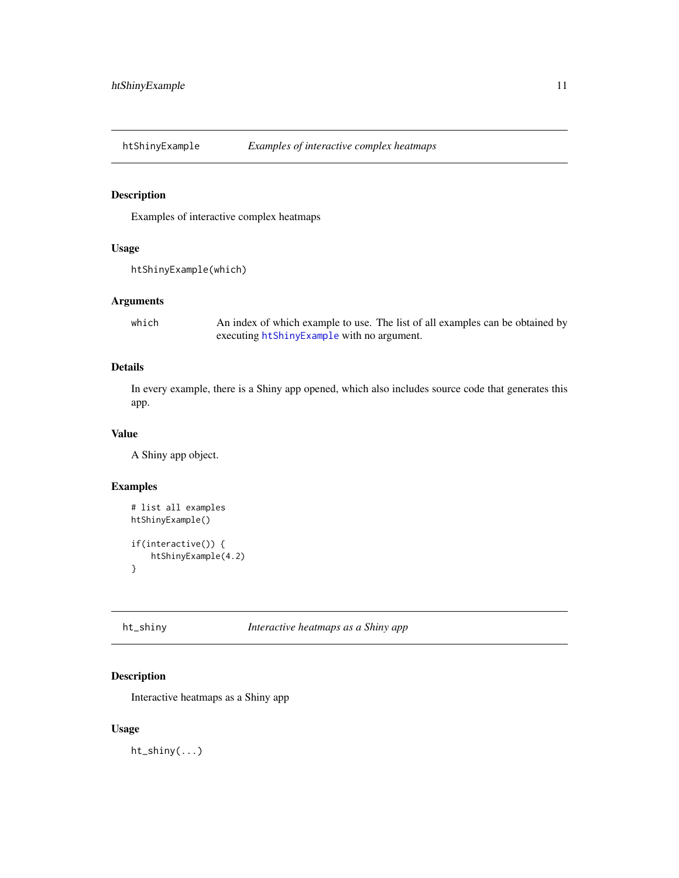<span id="page-10-1"></span><span id="page-10-0"></span>htShinyExample *Examples of interactive complex heatmaps*

### Description

Examples of interactive complex heatmaps

#### Usage

```
htShinyExample(which)
```
#### Arguments

which An index of which example to use. The list of all examples can be obtained by executing [htShinyExample](#page-10-1) with no argument.

#### Details

In every example, there is a Shiny app opened, which also includes source code that generates this app.

#### Value

A Shiny app object.

#### Examples

```
# list all examples
htShinyExample()
if(interactive()) {
    htShinyExample(4.2)
}
```
ht\_shiny *Interactive heatmaps as a Shiny app*

#### Description

Interactive heatmaps as a Shiny app

#### Usage

ht\_shiny(...)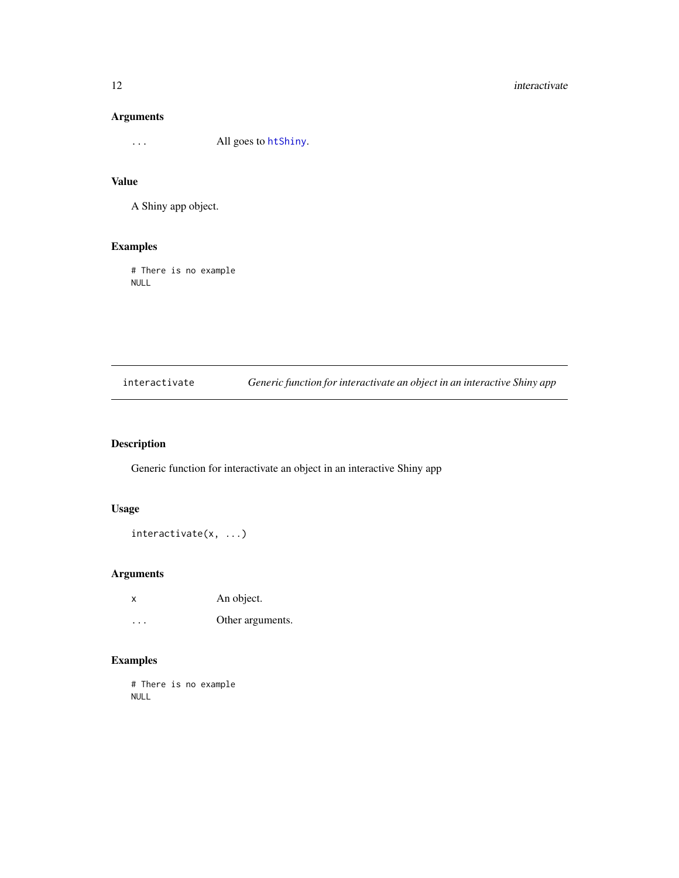#### <span id="page-11-0"></span>Arguments

... All goes to [htShiny](#page-7-1).

#### Value

A Shiny app object.

#### Examples

# There is no example NULL

interactivate *Generic function for interactivate an object in an interactive Shiny app*

#### Description

Generic function for interactivate an object in an interactive Shiny app

#### Usage

interactivate(x, ...)

### Arguments

| x | An object.       |
|---|------------------|
| . | Other arguments. |

### Examples

# There is no example NULL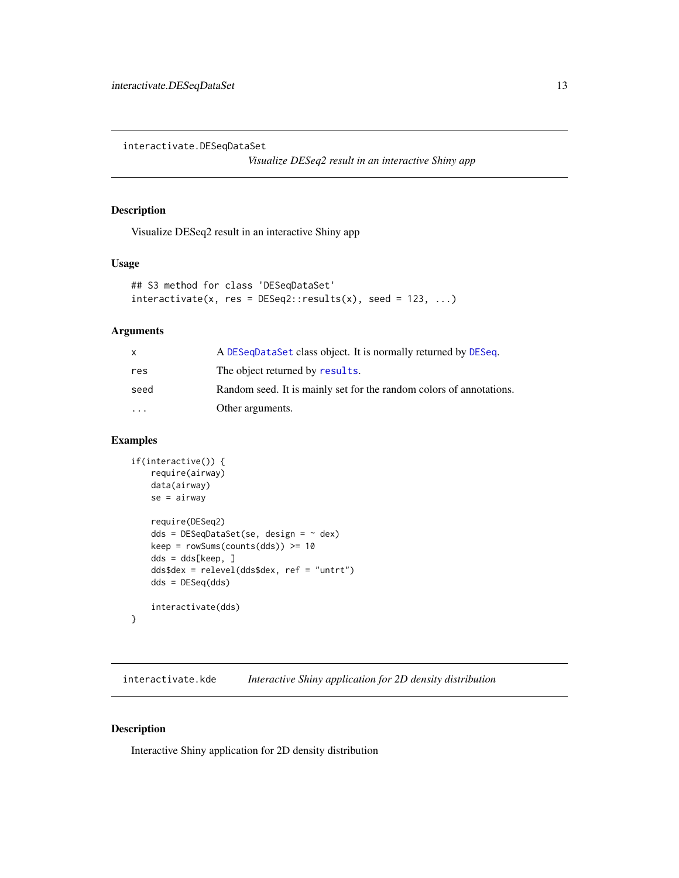<span id="page-12-0"></span>interactivate.DESeqDataSet

*Visualize DESeq2 result in an interactive Shiny app*

#### Description

Visualize DESeq2 result in an interactive Shiny app

#### Usage

```
## S3 method for class 'DESeqDataSet'
interactive(x, res = DESeq2::results(x), seed = 123, ...)
```
#### Arguments

|                         | A DESeqDataSet class object. It is normally returned by DESeq.      |
|-------------------------|---------------------------------------------------------------------|
| res                     | The object returned by results.                                     |
| seed                    | Random seed. It is mainly set for the random colors of annotations. |
| $\cdot$ $\cdot$ $\cdot$ | Other arguments.                                                    |

#### Examples

```
if(interactive()) {
   require(airway)
   data(airway)
   se = airway
   require(DESeq2)
   dds = DESeqDataSet(se, design = ~ dex)
   keep = rowsums(counts(dds)) \ge 10dds = dds[keep, ]
    dds$dex = relevel(dds$dex, ref = "untrt")
    dds = DESeq(dds)
    interactivate(dds)
}
```
interactivate.kde *Interactive Shiny application for 2D density distribution*

#### Description

Interactive Shiny application for 2D density distribution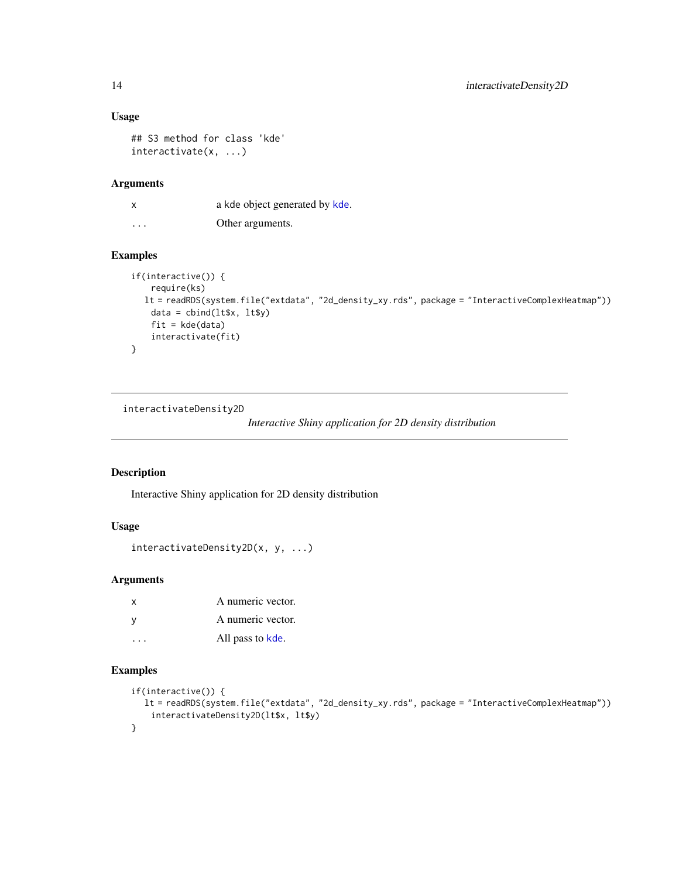#### Usage

```
## S3 method for class 'kde'
interactivate(x, ...)
```
#### Arguments

x a [kde](#page-0-0) object generated by kde. ... Other arguments.

#### Examples

```
if(interactive()) {
   require(ks)
  lt = readRDS(system.file("extdata", "2d_density_xy.rds", package = "InteractiveComplexHeatmap"))
   data = child(lt$x, lt$y)
   fit = kde(data)interactivate(fit)
}
```
interactivateDensity2D

*Interactive Shiny application for 2D density distribution*

#### Description

Interactive Shiny application for 2D density distribution

#### Usage

```
interactivateDensity2D(x, y, ...)
```
#### Arguments

| x | A numeric vector. |
|---|-------------------|
| ٧ | A numeric vector. |
|   | All pass to kde.  |

```
if(interactive()) {
  lt = readRDS(system.file("extdata", "2d_density_xy.rds", package = "InteractiveComplexHeatmap"))
   interactivateDensity2D(lt$x, lt$y)
}
```
<span id="page-13-0"></span>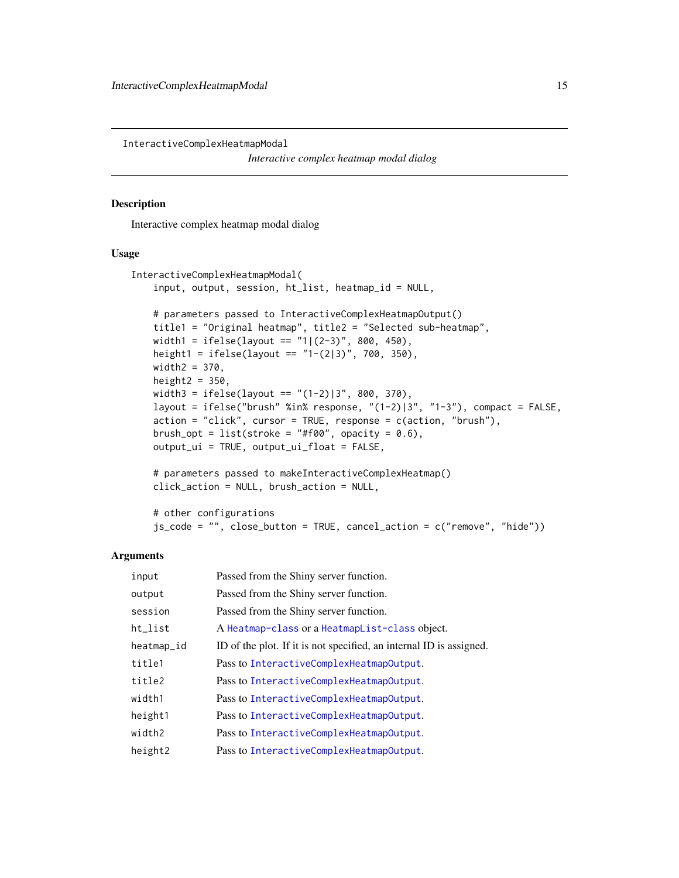<span id="page-14-0"></span>InteractiveComplexHeatmapModal

*Interactive complex heatmap modal dialog*

#### Description

Interactive complex heatmap modal dialog

#### Usage

```
InteractiveComplexHeatmapModal(
   input, output, session, ht_list, heatmap_id = NULL,
   # parameters passed to InteractiveComplexHeatmapOutput()
   title1 = "Original heatmap", title2 = "Selected sub-heatmap",
   width1 = ifelse(layout == "1|(2-3)", 800, 450),
   height1 = ifelse(layout == "1-(2|3)", 700, 350),
   width2 = 370,
   height2 = 350,
   width3 = ifelse(layout == "(1-2)|3", 800, 370),layout = ifelse("brush" %in% response, "(1-2)|3", "1-3"), compact = FALSE,
   action = "click", cursor = TRUE, response = c(action, "brush"),
   brush_opt = list(stroke = "#f00", opacity = 0.6),
   output_ui = TRUE, output_ui_float = FALSE,
```
# parameters passed to makeInteractiveComplexHeatmap() click\_action = NULL, brush\_action = NULL,

```
# other configurations
js_code = "", close_button = TRUE, cancel_action = c("remove", "hide"))
```

| input      | Passed from the Shiny server function.                              |
|------------|---------------------------------------------------------------------|
| output     | Passed from the Shiny server function.                              |
| session    | Passed from the Shiny server function.                              |
| ht_list    | A Heatmap-class or a HeatmapList-class object.                      |
| heatmap_id | ID of the plot. If it is not specified, an internal ID is assigned. |
| title1     | Pass to InteractiveComplexHeatmapOutput.                            |
| title2     | Pass to InteractiveComplexHeatmapOutput.                            |
| width1     | Pass to InteractiveComplexHeatmapOutput.                            |
| height1    | Pass to InteractiveComplexHeatmapOutput.                            |
| width2     | Pass to InteractiveComplexHeatmapOutput.                            |
| height2    | Pass to InteractiveComplexHeatmapOutput.                            |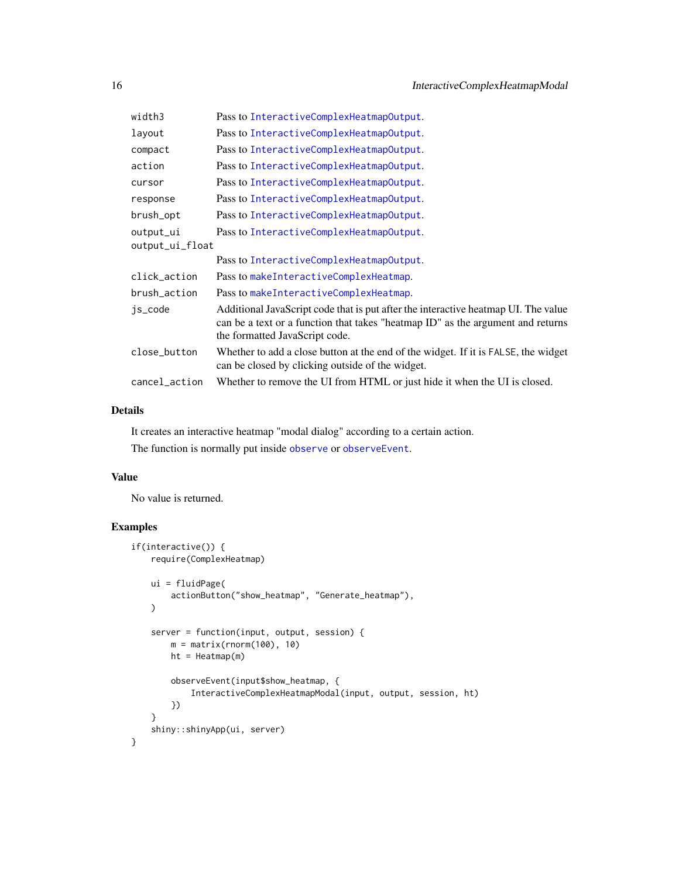<span id="page-15-0"></span>

| width3          | Pass to InteractiveComplexHeatmapOutput.                                                                                                                                                                |
|-----------------|---------------------------------------------------------------------------------------------------------------------------------------------------------------------------------------------------------|
| layout          | Pass to InteractiveComplexHeatmapOutput.                                                                                                                                                                |
| compact         | Pass to InteractiveComplexHeatmapOutput.                                                                                                                                                                |
| action          | Pass to InteractiveComplexHeatmapOutput.                                                                                                                                                                |
| cursor          | Pass to InteractiveComplexHeatmapOutput.                                                                                                                                                                |
| response        | Pass to InteractiveComplexHeatmapOutput.                                                                                                                                                                |
| brush_opt       | Pass to InteractiveComplexHeatmapOutput.                                                                                                                                                                |
| output_ui       | Pass to InteractiveComplexHeatmapOutput.                                                                                                                                                                |
| output_ui_float |                                                                                                                                                                                                         |
|                 | Pass to InteractiveComplexHeatmapOutput.                                                                                                                                                                |
| click_action    | Pass to makeInteractiveComplexHeatmap.                                                                                                                                                                  |
| brush_action    | Pass to makeInteractiveComplexHeatmap.                                                                                                                                                                  |
| js_code         | Additional JavaScript code that is put after the interactive heatmap UI. The value<br>can be a text or a function that takes "heatmap ID" as the argument and returns<br>the formatted JavaScript code. |
| close_button    | Whether to add a close button at the end of the widget. If it is FALSE, the widget<br>can be closed by clicking outside of the widget.                                                                  |
| cancel_action   | Whether to remove the UI from HTML or just hide it when the UI is closed.                                                                                                                               |

#### Details

It creates an interactive heatmap "modal dialog" according to a certain action.

The function is normally put inside [observe](#page-0-0) or [observeEvent](#page-0-0).

#### Value

No value is returned.

```
if(interactive()) {
   require(ComplexHeatmap)
   ui = fluidPage(
        actionButton("show_heatmap", "Generate_heatmap"),
    \mathcal{L}server = function(input, output, session) {
       m = matrix(rnorm(100), 10)
       ht = Heatmap(m)
       observeEvent(input$show_heatmap, {
            InteractiveComplexHeatmapModal(input, output, session, ht)
       })
    }
   shiny::shinyApp(ui, server)
}
```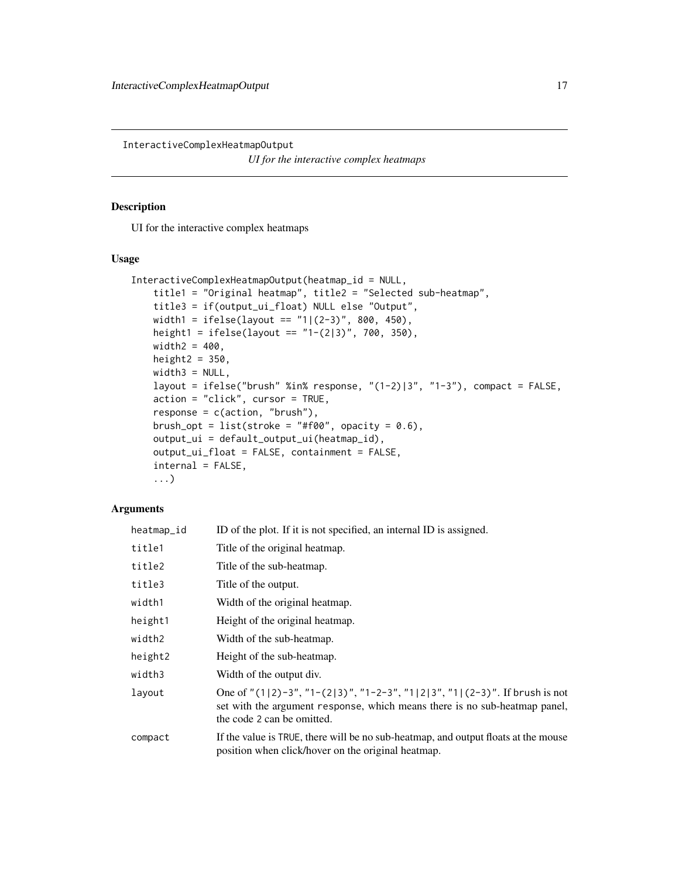<span id="page-16-1"></span><span id="page-16-0"></span>InteractiveComplexHeatmapOutput *UI for the interactive complex heatmaps*

#### Description

UI for the interactive complex heatmaps

#### Usage

```
InteractiveComplexHeatmapOutput(heatmap_id = NULL,
   title1 = "Original heatmap", title2 = "Selected sub-heatmap",
   title3 = if(output_ui_float) NULL else "Output",
   width1 = ifelse(layout == "1|(2-3)", 800, 450),height1 = ifelse(layout == "1-(2|3)", 700, 350),
   width2 = 400,
   height2 = 350,
   width3 = NULL,layout = ifelse("brush" %in% response, "(1-2)|3", "1-3"), compact = FALSE,
   action = "click", cursor = TRUE,
   response = c(action, "brush"),brush_opt = list(stroke = "#f00", opacity = 0.6),
   output_ui = default_output_ui(heatmap_id),
   output_ui_float = FALSE, containment = FALSE,
   internal = FALSE,
    ...)
```

| heatmap_id | ID of the plot. If it is not specified, an internal ID is assigned.                                                                                                                               |
|------------|---------------------------------------------------------------------------------------------------------------------------------------------------------------------------------------------------|
| title1     | Title of the original heatmap.                                                                                                                                                                    |
| title2     | Title of the sub-heatmap.                                                                                                                                                                         |
| title3     | Title of the output.                                                                                                                                                                              |
| width1     | Width of the original heatmap.                                                                                                                                                                    |
| height1    | Height of the original heatmap.                                                                                                                                                                   |
| width2     | Width of the sub-heatmap.                                                                                                                                                                         |
| height2    | Height of the sub-heatmap.                                                                                                                                                                        |
| width3     | Width of the output div.                                                                                                                                                                          |
| layout     | One of " $(1 2)-3$ ", "1- $(2 3)$ ", "1-2-3", "1 2 3", "1  $(2-3)$ ". If brush is not<br>set with the argument response, which means there is no sub-heatmap panel,<br>the code 2 can be omitted. |
| compact    | If the value is TRUE, there will be no sub-heatmap, and output floats at the mouse<br>position when click/hover on the original heatmap.                                                          |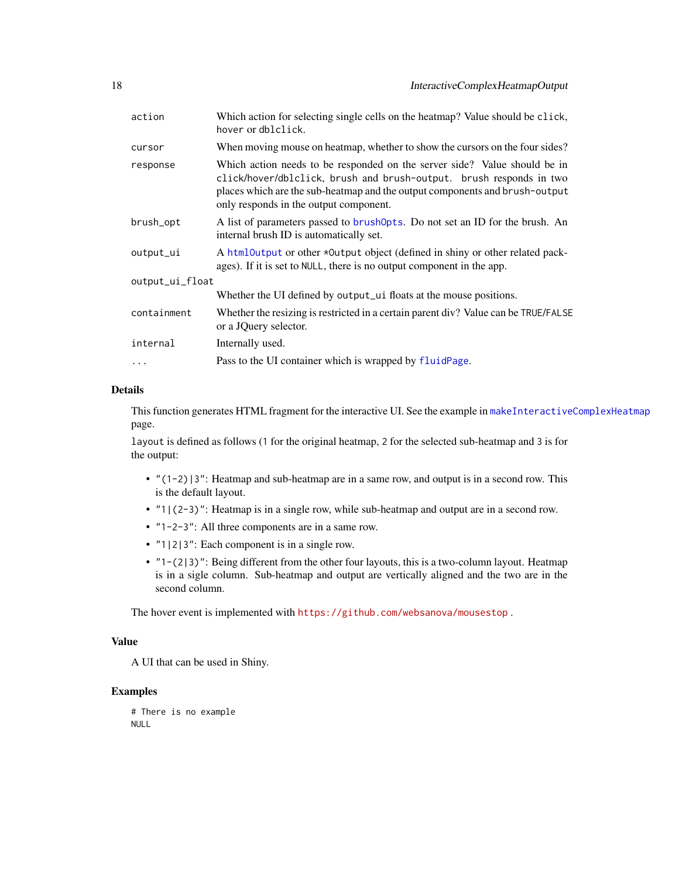<span id="page-17-0"></span>

| action          | Which action for selecting single cells on the heatmap? Value should be click,<br>hover or dblclick.                                                                                                                                                                      |
|-----------------|---------------------------------------------------------------------------------------------------------------------------------------------------------------------------------------------------------------------------------------------------------------------------|
| cursor          | When moving mouse on heatmap, whether to show the cursors on the four sides?                                                                                                                                                                                              |
| response        | Which action needs to be responded on the server side? Value should be in<br>click/hover/dblclick, brush and brush-output. brush responds in two<br>places which are the sub-heatmap and the output components and brush-output<br>only responds in the output component. |
| brush_opt       | A list of parameters passed to brush0pts. Do not set an ID for the brush. An<br>internal brush ID is automatically set.                                                                                                                                                   |
| output_ui       | A html Output or other *Output object (defined in shiny or other related pack-<br>ages). If it is set to NULL, there is no output component in the app.                                                                                                                   |
| output_ui_float |                                                                                                                                                                                                                                                                           |
|                 | Whether the UI defined by output_ui floats at the mouse positions.                                                                                                                                                                                                        |
| containment     | Whether the resizing is restricted in a certain parent div? Value can be TRUE/FALSE<br>or a JQuery selector.                                                                                                                                                              |
| internal        | Internally used.                                                                                                                                                                                                                                                          |
| .               | Pass to the UI container which is wrapped by fluidPage.                                                                                                                                                                                                                   |

#### Details

This function generates HTML fragment for the interactive UI. See the example in [makeInteractiveComplexHeatmap](#page-20-1) page.

layout is defined as follows (1 for the original heatmap, 2 for the selected sub-heatmap and 3 is for the output:

- $\bullet$  "(1-2)|3": Heatmap and sub-heatmap are in a same row, and output is in a second row. This is the default layout.
- "1|(2-3)": Heatmap is in a single row, while sub-heatmap and output are in a second row.
- "1-2-3": All three components are in a same row.
- "1|2|3": Each component is in a single row.
- "1-(2|3)": Being different from the other four layouts, this is a two-column layout. Heatmap is in a sigle column. Sub-heatmap and output are vertically aligned and the two are in the second column.

The hover event is implemented with <https://github.com/websanova/mousestop> .

#### Value

A UI that can be used in Shiny.

```
# There is no example
NULL
```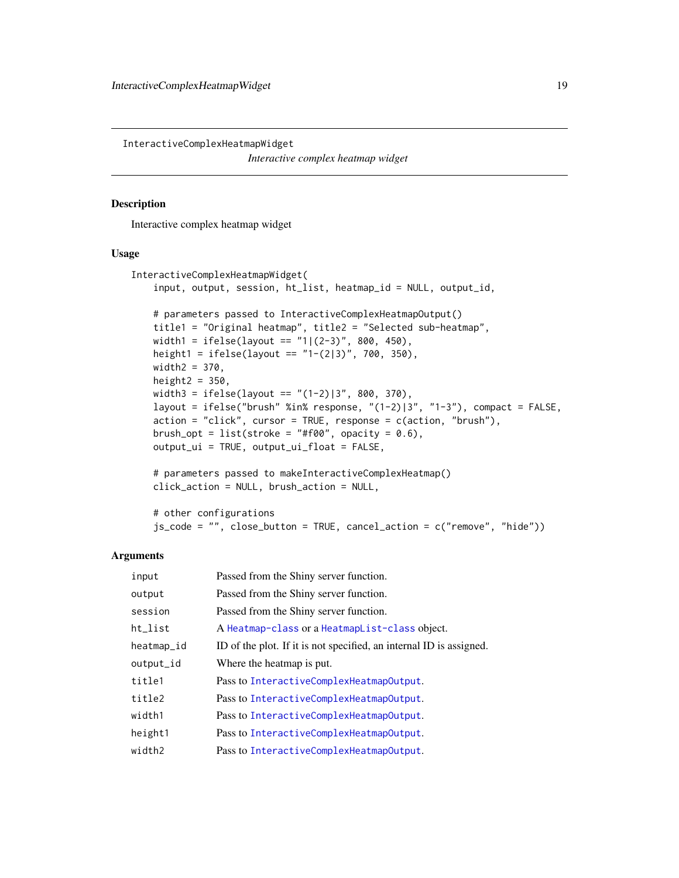<span id="page-18-0"></span>InteractiveComplexHeatmapWidget *Interactive complex heatmap widget*

#### Description

Interactive complex heatmap widget

#### Usage

```
InteractiveComplexHeatmapWidget(
   input, output, session, ht_list, heatmap_id = NULL, output_id,
   # parameters passed to InteractiveComplexHeatmapOutput()
   title1 = "Original heatmap", title2 = "Selected sub-heatmap",
   width1 = ifelse(layout == "1|(2-3)", 800, 450),
   height1 = ifelse(layout == "1-(2|3)", 700, 350),
   width2 = 370,
   height2 = 350,
   width3 = ifelse(layout == "(1-2)|3", 800, 370),layout = ifelse("brush" %in% response, "(1-2)|3", "1-3"), compact = FALSE,
   action = "click", cursor = TRUE, response = c(action, "brush"),
   brush_opt = list(stroke = "#f00", opacity = 0.6),
   output_ui = TRUE, output_ui_float = FALSE,
```

```
# parameters passed to makeInteractiveComplexHeatmap()
click_action = NULL, brush_action = NULL,
```

```
# other configurations
js_code = "", close_button = TRUE, cancel_action = c("remove", "hide"))
```

| input      | Passed from the Shiny server function.                              |
|------------|---------------------------------------------------------------------|
| output     | Passed from the Shiny server function.                              |
| session    | Passed from the Shiny server function.                              |
| ht_list    | A Heatmap-class or a HeatmapList-class object.                      |
| heatmap_id | ID of the plot. If it is not specified, an internal ID is assigned. |
| output_id  | Where the heatmap is put.                                           |
| title1     | Pass to InteractiveComplexHeatmapOutput.                            |
| title2     | Pass to InteractiveComplexHeatmapOutput.                            |
| width1     | Pass to InteractiveComplexHeatmapOutput.                            |
| height1    | Pass to InteractiveComplexHeatmapOutput.                            |
| width2     | Pass to InteractiveComplexHeatmapOutput.                            |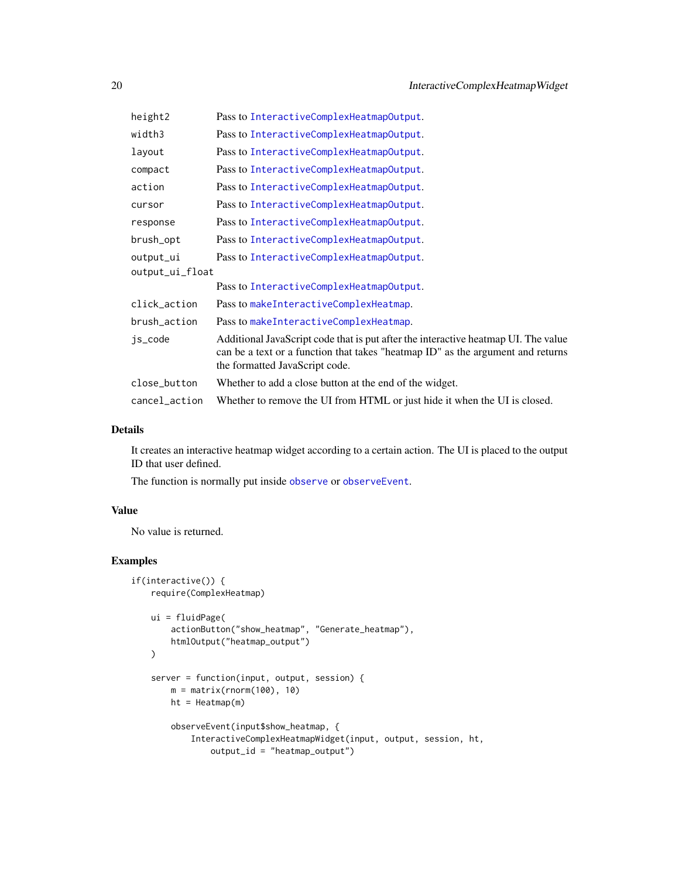<span id="page-19-0"></span>

| height2         | Pass to InteractiveComplexHeatmapOutput.                                                                                                                                                                |
|-----------------|---------------------------------------------------------------------------------------------------------------------------------------------------------------------------------------------------------|
| width3          | Pass to InteractiveComplexHeatmapOutput.                                                                                                                                                                |
| layout          | Pass to InteractiveComplexHeatmapOutput.                                                                                                                                                                |
| compact         | Pass to InteractiveComplexHeatmapOutput.                                                                                                                                                                |
| action          | Pass to InteractiveComplexHeatmapOutput.                                                                                                                                                                |
| cursor          | Pass to InteractiveComplexHeatmapOutput.                                                                                                                                                                |
| response        | Pass to InteractiveComplexHeatmapOutput.                                                                                                                                                                |
| brush_opt       | Pass to InteractiveComplexHeatmapOutput.                                                                                                                                                                |
| output_ui       | Pass to InteractiveComplexHeatmapOutput.                                                                                                                                                                |
| output_ui_float |                                                                                                                                                                                                         |
|                 | Pass to InteractiveComplexHeatmapOutput.                                                                                                                                                                |
| click_action    | Pass to makeInteractiveComplexHeatmap.                                                                                                                                                                  |
| brush_action    | Pass to makeInteractiveComplexHeatmap.                                                                                                                                                                  |
| js_code         | Additional JavaScript code that is put after the interactive heatmap UI. The value<br>can be a text or a function that takes "heatmap ID" as the argument and returns<br>the formatted JavaScript code. |
| close_button    | Whether to add a close button at the end of the widget.                                                                                                                                                 |
| cancel_action   | Whether to remove the UI from HTML or just hide it when the UI is closed.                                                                                                                               |

#### Details

It creates an interactive heatmap widget according to a certain action. The UI is placed to the output ID that user defined.

The function is normally put inside [observe](#page-0-0) or [observeEvent](#page-0-0).

#### Value

No value is returned.

```
if(interactive()) {
   require(ComplexHeatmap)
   ui = fluidPage(
       actionButton("show_heatmap", "Generate_heatmap"),
       htmlOutput("heatmap_output")
   \lambdaserver = function(input, output, session) {
       m = matrix(rnorm(100), 10)ht = Heatmap(m)
       observeEvent(input$show_heatmap, {
           InteractiveComplexHeatmapWidget(input, output, session, ht,
               output_id = "heatmap_output")
```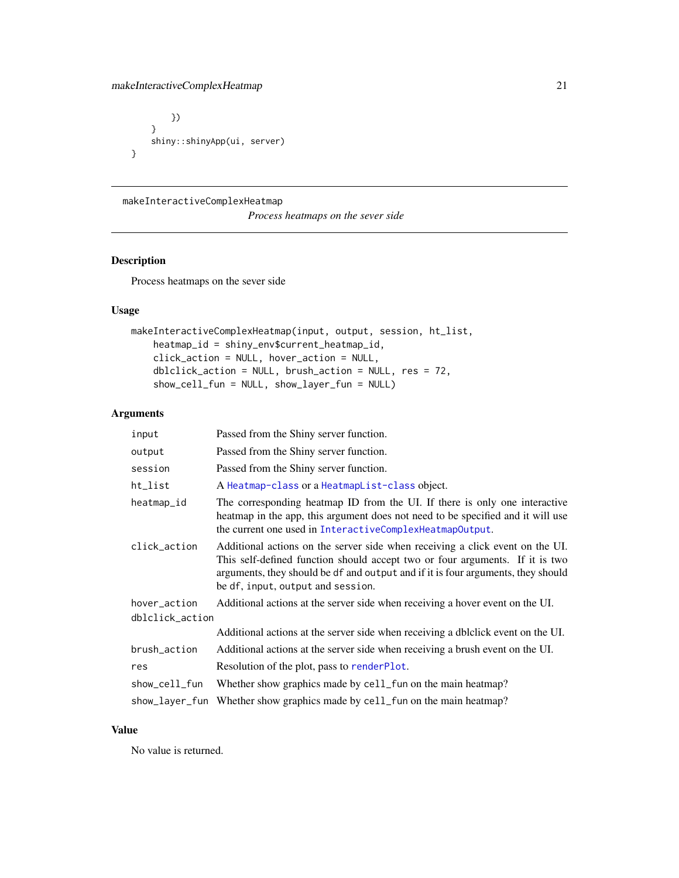#### <span id="page-20-0"></span>makeInteractiveComplexHeatmap 21

```
})
    }
    shiny::shinyApp(ui, server)
}
```
#### <span id="page-20-1"></span>makeInteractiveComplexHeatmap

*Process heatmaps on the sever side*

#### Description

Process heatmaps on the sever side

#### Usage

```
makeInteractiveComplexHeatmap(input, output, session, ht_list,
    heatmap_id = shiny_env$current_heatmap_id,
   click_action = NULL, hover_action = NULL,
    dblclick_action = NULL, brush_action = NULL, res = 72,
    show_cell_fun = NULL, show_layer_fun = NULL)
```
#### Arguments

| input           | Passed from the Shiny server function.                                                                                                                                                                                                                                                 |
|-----------------|----------------------------------------------------------------------------------------------------------------------------------------------------------------------------------------------------------------------------------------------------------------------------------------|
| output          | Passed from the Shiny server function.                                                                                                                                                                                                                                                 |
| session         | Passed from the Shiny server function.                                                                                                                                                                                                                                                 |
| ht_list         | A Heatmap-class or a HeatmapList-class object.                                                                                                                                                                                                                                         |
| heatmap_id      | The corresponding heatmap ID from the UI. If there is only one interactive<br>heatmap in the app, this argument does not need to be specified and it will use<br>the current one used in InteractiveComplexHeatmapOutput.                                                              |
| click_action    | Additional actions on the server side when receiving a click event on the UI.<br>This self-defined function should accept two or four arguments. If it is two<br>arguments, they should be df and output and if it is four arguments, they should<br>be df, input, output and session. |
| hover_action    | Additional actions at the server side when receiving a hover event on the UI.                                                                                                                                                                                                          |
| dblclick_action |                                                                                                                                                                                                                                                                                        |
|                 | Additional actions at the server side when receiving a dblclick event on the UI.                                                                                                                                                                                                       |
| brush_action    | Additional actions at the server side when receiving a brush event on the UI.                                                                                                                                                                                                          |
| res             | Resolution of the plot, pass to renderPlot.                                                                                                                                                                                                                                            |
| show_cell_fun   | Whether show graphics made by cell_fun on the main heatmap?                                                                                                                                                                                                                            |
|                 | show_layer_fun Whether show graphics made by cell_fun on the main heatmap?                                                                                                                                                                                                             |
|                 |                                                                                                                                                                                                                                                                                        |

#### Value

No value is returned.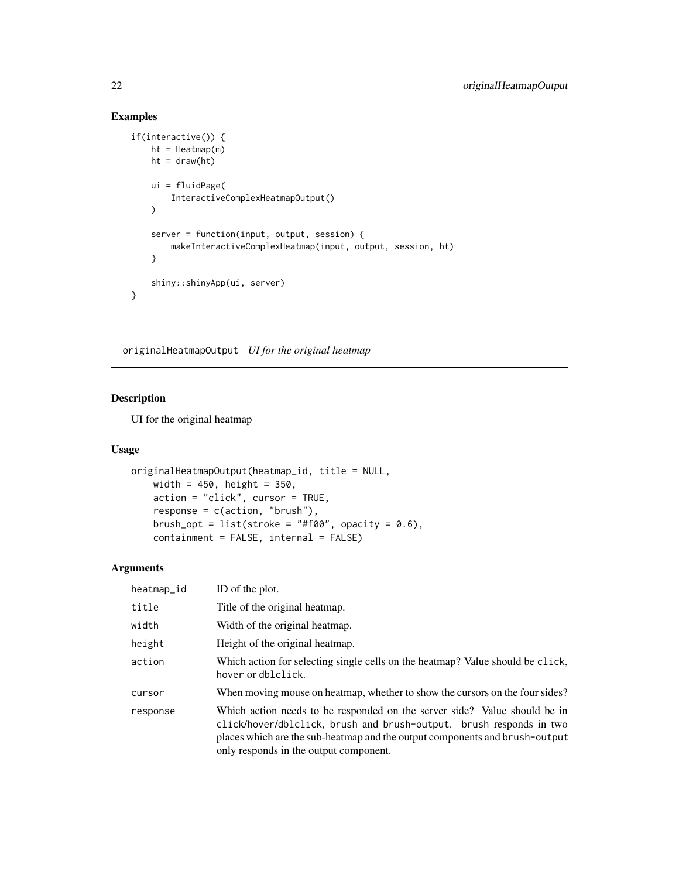#### Examples

```
if(interactive()) {
   ht = \text{Heatmap}(m)ht = draw(ht)ui = fluidPage(
        InteractiveComplexHeatmapOutput()
   )
   server = function(input, output, session) {
       makeInteractiveComplexHeatmap(input, output, session, ht)
   }
   shiny::shinyApp(ui, server)
}
```
<span id="page-21-1"></span>originalHeatmapOutput *UI for the original heatmap*

#### Description

UI for the original heatmap

#### Usage

```
originalHeatmapOutput(heatmap_id, title = NULL,
   width = 450, height = 350,
   action = "click", cursor = TRUE,
   response = c(action, "brush"),
   brush_opt = list(stroke = "#f00", opacity = 0.6),
   containment = FALSE, internal = FALSE)
```

| heatmap_id | ID of the plot.                                                                                                                                                                                                                                                           |
|------------|---------------------------------------------------------------------------------------------------------------------------------------------------------------------------------------------------------------------------------------------------------------------------|
| title      | Title of the original heatmap.                                                                                                                                                                                                                                            |
| width      | Width of the original heatmap.                                                                                                                                                                                                                                            |
| height     | Height of the original heatmap.                                                                                                                                                                                                                                           |
| action     | Which action for selecting single cells on the heatmap? Value should be click,<br>hover or dblclick.                                                                                                                                                                      |
| cursor     | When moving mouse on heatmap, whether to show the cursors on the four sides?                                                                                                                                                                                              |
| response   | Which action needs to be responded on the server side? Value should be in<br>click/hover/dblclick, brush and brush-output. brush responds in two<br>places which are the sub-heatmap and the output components and brush-output<br>only responds in the output component. |

<span id="page-21-0"></span>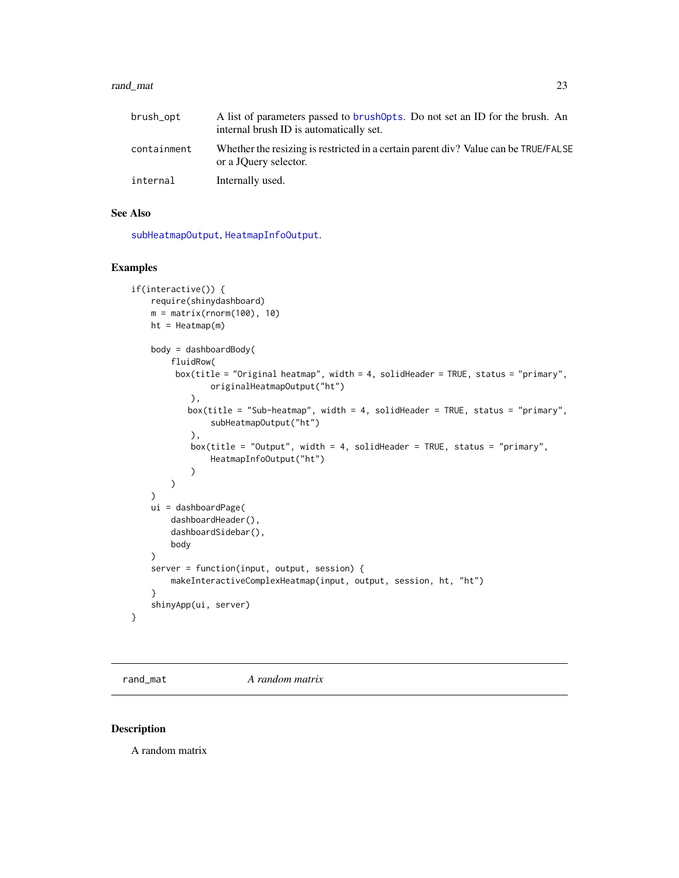#### <span id="page-22-0"></span>rand\_mat 23

| brush_opt   | A list of parameters passed to brush Opts. Do not set an ID for the brush. An<br>internal brush ID is automatically set. |
|-------------|--------------------------------------------------------------------------------------------------------------------------|
| containment | Whether the resizing is restricted in a certain parent div? Value can be TRUE/FALSE<br>or a JQuery selector.             |
| internal    | Internally used.                                                                                                         |

#### See Also

[subHeatmapOutput](#page-26-1), [HeatmapInfoOutput](#page-5-1).

### Examples

```
if(interactive()) {
    require(shinydashboard)
    m = matrix(rnorm(100), 10)
   ht = Heatmap(m)body = dashboardBody(
        fluidRow(
         box(title = "Original heatmap", width = 4, solidHeader = TRUE, status = "primary",
                originalHeatmapOutput("ht")
            ),
           box(title = "Sub-heatmap", width = 4, solidHeader = TRUE, status = "primary",
                subHeatmapOutput("ht")
            ),
            box(title = "Output", width = 4, solidHeader = TRUE, status = "primary",
                HeatmapInfoOutput("ht")
            \mathcal{L})
    )
    ui = dashboardPage(
        dashboardHeader(),
        dashboardSidebar(),
        body
    \lambdaserver = function(input, output, session) {
        makeInteractiveComplexHeatmap(input, output, session, ht, "ht")
    }
    shinyApp(ui, server)
}
```
rand\_mat *A random matrix*

#### Description

A random matrix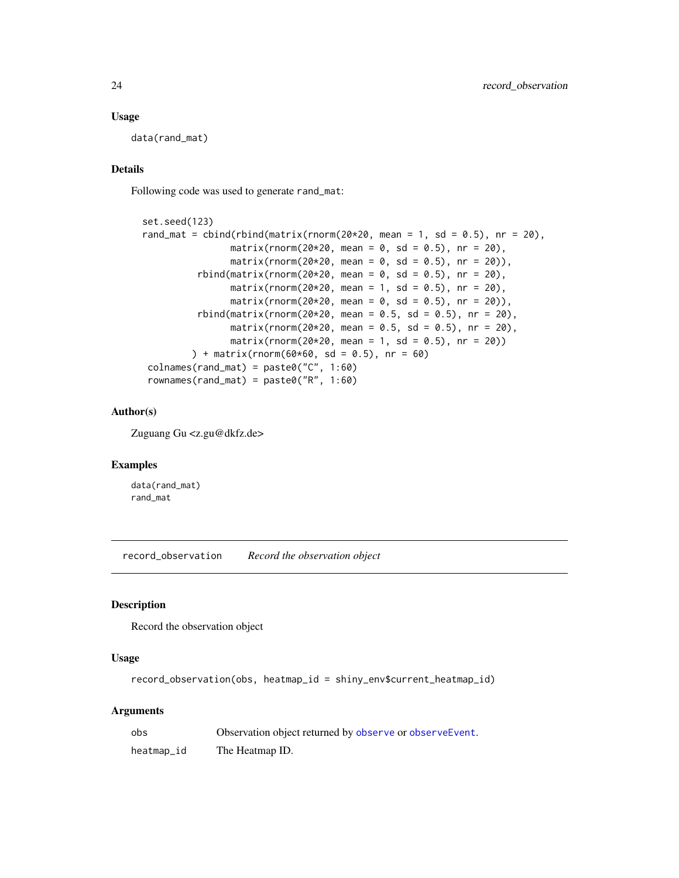#### Usage

data(rand\_mat)

#### Details

Following code was used to generate rand\_mat:

```
set.seed(123)
rand_mat = cbind(rbind(matrix(rnorm(20*20, mean = 1, sd = 0.5), nr = 20),
               matrix(rnorm(20*20, mean = 0, sd = 0.5), nr = 20),
               matrix(rnorm(20*20, mean = 0, sd = 0.5), nr = 20),
         rbind(matrix(rnorm(20*20, mean = 0, sd = 0.5), nr = 20),
               matrix(rnorm(20*20, mean = 1, sd = 0.5), nr = 20),
               matrix(rnorm(20*20, mean = 0, sd = 0.5), nr = 20)),
         rbind(matrix(rnorm(20*20, mean = 0.5, sd = 0.5), nr = 20),
               matrix(rnorm(20*20, mean = 0.5, sd = 0.5), nr = 20),
               matrix(rnorm(20*20, mean = 1, sd = 0.5), nr = 20)) + matrix(rnorm(60*60, sd = 0.5), nr = 60)
colnames(rand_mat) = paste0("C", 1:60)
rownames(rand_mat) = paste0("R", 1:60)
```
#### Author(s)

Zuguang Gu <z.gu@dkfz.de>

#### Examples

data(rand\_mat) rand\_mat

record\_observation *Record the observation object*

#### Description

Record the observation object

#### Usage

record\_observation(obs, heatmap\_id = shiny\_env\$current\_heatmap\_id)

| obs        | Observation object returned by observe or observe Event. |
|------------|----------------------------------------------------------|
| heatmap_id | The Heatmap ID.                                          |

<span id="page-23-0"></span>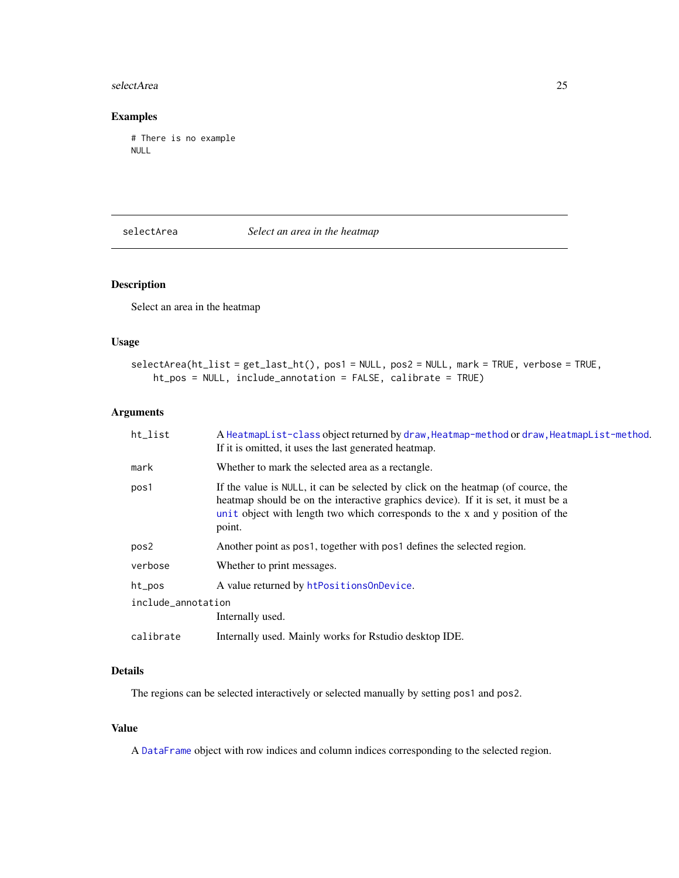#### <span id="page-24-0"></span>selectArea 25

#### Examples

# There is no example NULL

#### selectArea *Select an area in the heatmap*

#### Description

Select an area in the heatmap

#### Usage

```
selectArea(ht_list = get_last_ht(), pos1 = NULL, pos2 = NULL, mark = TRUE, verbose = TRUE,
   ht_pos = NULL, include_annotation = FALSE, calibrate = TRUE)
```
#### Arguments

| ht_list            | A HeatmapList-class object returned by draw, Heatmap-method or draw, HeatmapList-method.<br>If it is omitted, it uses the last generated heatmap.                                                                                                               |
|--------------------|-----------------------------------------------------------------------------------------------------------------------------------------------------------------------------------------------------------------------------------------------------------------|
| mark               | Whether to mark the selected area as a rectangle.                                                                                                                                                                                                               |
| pos1               | If the value is NULL, it can be selected by click on the heatmap (of cource, the<br>heatmap should be on the interactive graphics device). If it is set, it must be a<br>unit object with length two which corresponds to the x and y position of the<br>point. |
| pos2               | Another point as pos1, together with pos1 defines the selected region.                                                                                                                                                                                          |
| verbose            | Whether to print messages.                                                                                                                                                                                                                                      |
| ht_pos             | A value returned by htPositionsOnDevice.                                                                                                                                                                                                                        |
| include_annotation |                                                                                                                                                                                                                                                                 |
|                    | Internally used.                                                                                                                                                                                                                                                |
| calibrate          | Internally used. Mainly works for Rstudio desktop IDE.                                                                                                                                                                                                          |

#### Details

The regions can be selected interactively or selected manually by setting pos1 and pos2.

#### Value

A [DataFrame](#page-0-0) object with row indices and column indices corresponding to the selected region.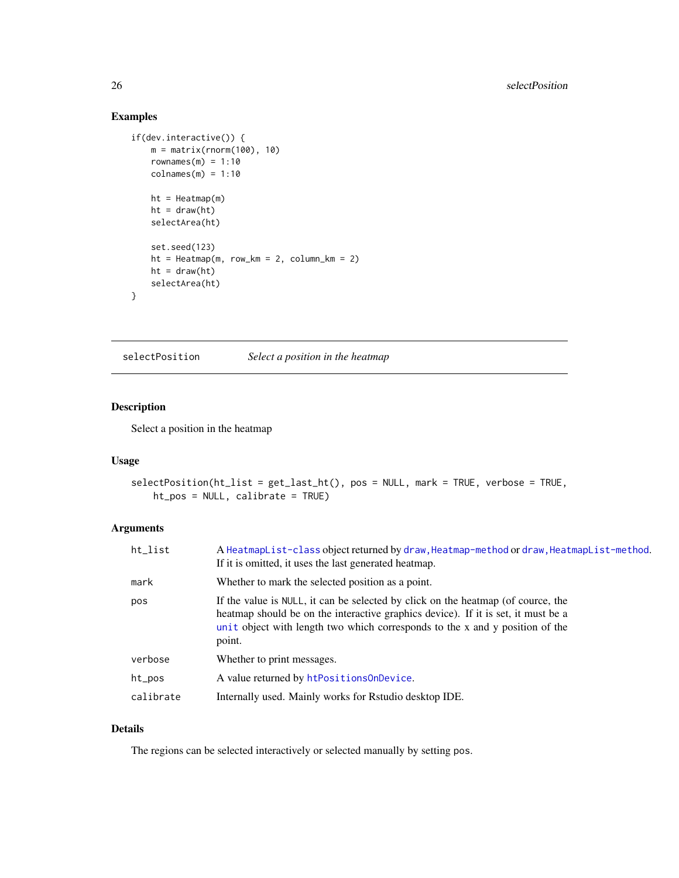#### Examples

```
if(dev.interactive()) {
   m = matrix(rnorm(100), 10)
   rownames(m) = 1:10colnames(m) = 1:10ht = Heatmap(m)ht = draw(ht)selectArea(ht)
   set.seed(123)
   ht = \text{Heatmap}(m, row_km = 2, column_km = 2)ht = draw(ht)selectArea(ht)
}
```
selectPosition *Select a position in the heatmap*

#### Description

Select a position in the heatmap

#### Usage

```
selectPosition(ht_list = get_last_ht(), pos = NULL, mark = TRUE, verbose = TRUE,
   ht_pos = NULL, calibrate = TRUE)
```
#### Arguments

| ht_list   | A HeatmapList-class object returned by draw, Heatmap-method or draw, HeatmapList-method.<br>If it is omitted, it uses the last generated heatmap.                                                                                                               |
|-----------|-----------------------------------------------------------------------------------------------------------------------------------------------------------------------------------------------------------------------------------------------------------------|
| mark      | Whether to mark the selected position as a point.                                                                                                                                                                                                               |
| pos       | If the value is NULL, it can be selected by click on the heatmap (of cource, the<br>heatmap should be on the interactive graphics device). If it is set, it must be a<br>unit object with length two which corresponds to the x and y position of the<br>point. |
| verbose   | Whether to print messages.                                                                                                                                                                                                                                      |
| ht_pos    | A value returned by htPositionsOnDevice.                                                                                                                                                                                                                        |
| calibrate | Internally used. Mainly works for Rstudio desktop IDE.                                                                                                                                                                                                          |

#### Details

The regions can be selected interactively or selected manually by setting pos.

<span id="page-25-0"></span>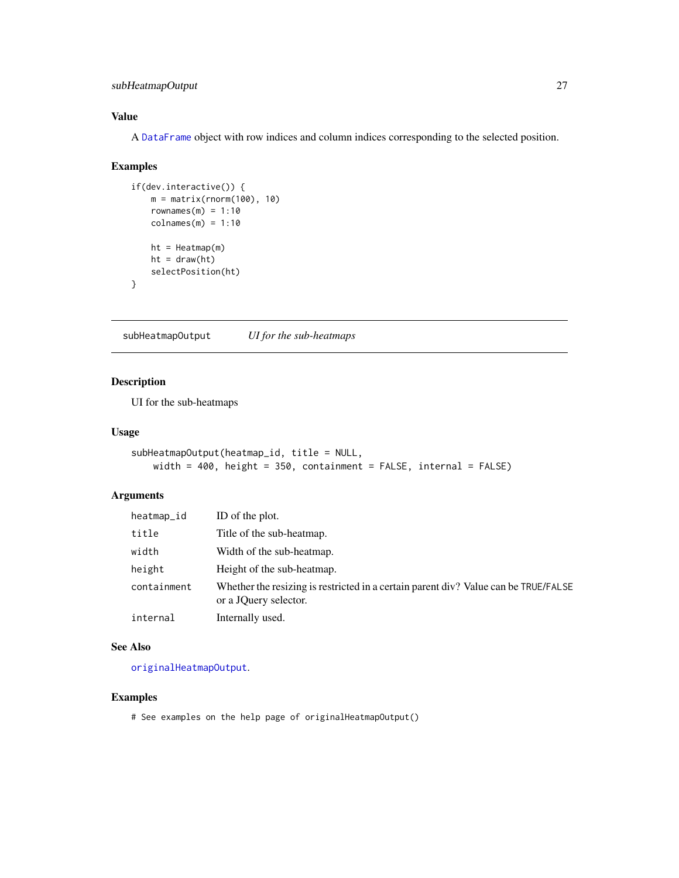#### <span id="page-26-0"></span>subHeatmapOutput 27

#### Value

A [DataFrame](#page-0-0) object with row indices and column indices corresponding to the selected position.

#### Examples

```
if(dev.interactive()) {
   m = matrix(rnorm(100), 10)rownames(m) = 1:10colnames(m) = 1:10ht = Heatmap(m)ht = draw(ht)selectPosition(ht)
}
```
<span id="page-26-1"></span>subHeatmapOutput *UI for the sub-heatmaps*

#### Description

UI for the sub-heatmaps

#### Usage

```
subHeatmapOutput(heatmap_id, title = NULL,
   width = 400, height = 350, containment = FALSE, internal = FALSE)
```
#### Arguments

| heatmap_id  | ID of the plot.                                                                                              |
|-------------|--------------------------------------------------------------------------------------------------------------|
| title       | Title of the sub-heatmap.                                                                                    |
| width       | Width of the sub-heatmap.                                                                                    |
| height      | Height of the sub-heatmap.                                                                                   |
| containment | Whether the resizing is restricted in a certain parent div? Value can be TRUE/FALSE<br>or a JQuery selector. |
| internal    | Internally used.                                                                                             |

#### See Also

[originalHeatmapOutput](#page-21-1).

#### Examples

# See examples on the help page of originalHeatmapOutput()